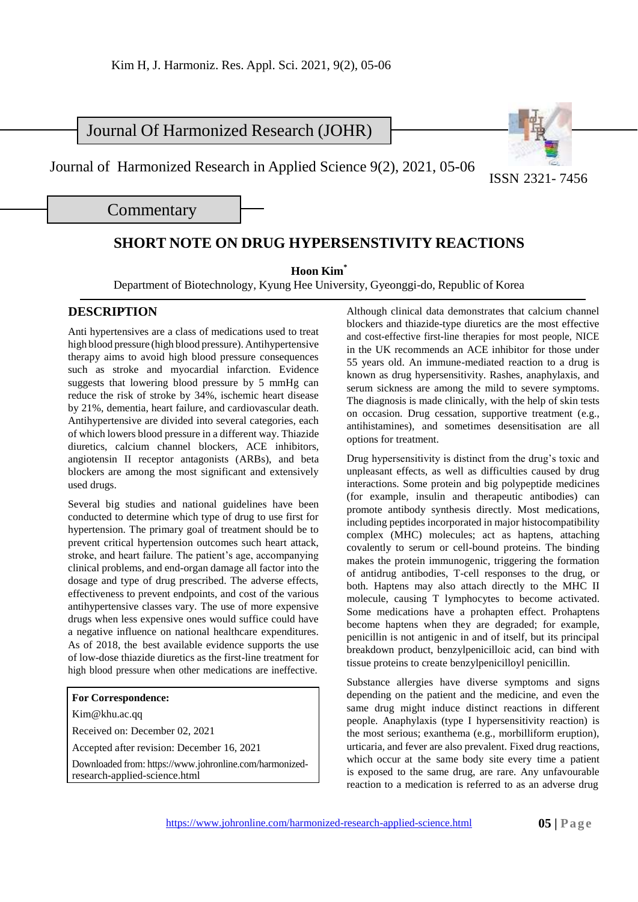## Journal Of Harmonized Research (JOHR)

Journal of Harmonized Research in Applied Science 9(2), 2021, 05-06

ISSN 2321- 7456

**Commentary** 

## **SHORT NOTE ON DRUG HYPERSENSTIVITY REACTIONS**

**Hoon Kim\***

Department of Biotechnology, Kyung Hee University, Gyeonggi-do, Republic of Korea

## **DESCRIPTION**

Anti hypertensives are a class of medications used to treat high blood pressure (high blood pressure). Antihypertensive therapy aims to avoid high blood pressure consequences such as stroke and myocardial infarction. Evidence suggests that lowering blood pressure by 5 mmHg can reduce the risk of stroke by 34%, ischemic heart disease by 21%, dementia, heart failure, and cardiovascular death. Antihypertensive are divided into several categories, each of which lowers blood pressure in a different way. Thiazide diuretics, calcium channel blockers, ACE inhibitors, angiotensin II receptor antagonists (ARBs), and beta blockers are among the most significant and extensively used drugs.

Several big studies and national guidelines have been conducted to determine which type of drug to use first for hypertension. The primary goal of treatment should be to prevent critical hypertension outcomes such heart attack, stroke, and heart failure. The patient's age, accompanying clinical problems, and end-organ damage all factor into the dosage and type of drug prescribed. The adverse effects, effectiveness to prevent endpoints, and cost of the various antihypertensive classes vary. The use of more expensive drugs when less expensive ones would suffice could have a negative influence on national healthcare expenditures. As of 2018, the best available evidence supports the use of low-dose thiazide diuretics as the first-line treatment for high blood pressure when other medications are ineffective.

## **For Correspondence:**

[Kim@khu.ac.qq](mailto:Kim@khu.ac.qq)

Received on: December 02, 2021

Accepted after revision: December 16, 2021

Downloaded from: [https://www.johronline.com/harmonized](http://www.johronline.com/harmonized-)research-applied-science.html

Although clinical data demonstrates that calcium channel blockers and thiazide-type diuretics are the most effective and cost-effective first-line therapies for most people, NICE in the UK recommends an ACE inhibitor for those under 55 years old. An immune-mediated reaction to a drug is known as drug hypersensitivity. Rashes, anaphylaxis, and serum sickness are among the mild to severe symptoms. The diagnosis is made clinically, with the help of skin tests on occasion. Drug cessation, supportive treatment (e.g., antihistamines), and sometimes desensitisation are all options for treatment.

Drug hypersensitivity is distinct from the drug's toxic and unpleasant effects, as well as difficulties caused by drug interactions. Some protein and big polypeptide medicines (for example, insulin and therapeutic antibodies) can promote antibody synthesis directly. Most medications, including peptides incorporated in major histocompatibility complex (MHC) molecules; act as haptens, attaching covalently to serum or cell-bound proteins. The binding makes the protein immunogenic, triggering the formation of antidrug antibodies, T-cell responses to the drug, or both. Haptens may also attach directly to the MHC II molecule, causing T lymphocytes to become activated. Some medications have a prohapten effect. Prohaptens become haptens when they are degraded; for example, penicillin is not antigenic in and of itself, but its principal breakdown product, benzylpenicilloic acid, can bind with tissue proteins to create benzylpenicilloyl penicillin.

Substance allergies have diverse symptoms and signs depending on the patient and the medicine, and even the same drug might induce distinct reactions in different people. Anaphylaxis (type I hypersensitivity reaction) is the most serious; exanthema (e.g., morbilliform eruption), urticaria, and fever are also prevalent. Fixed drug reactions, which occur at the same body site every time a patient is exposed to the same drug, are rare. Any unfavourable reaction to a medication is referred to as an adverse drug